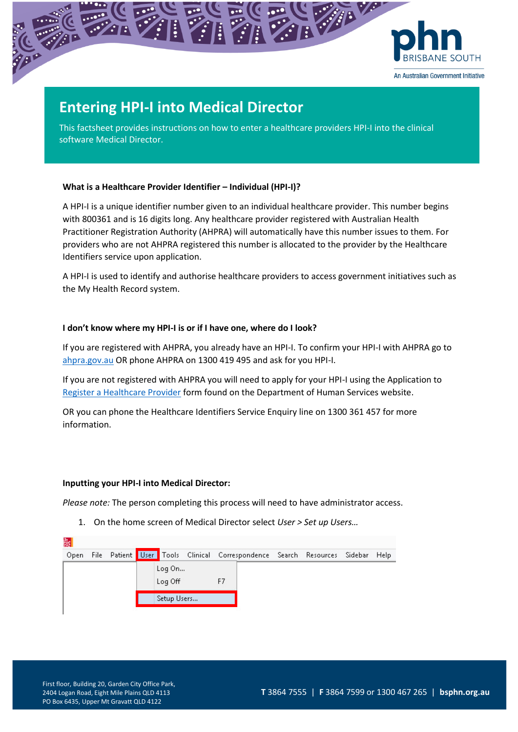

# **Entering HPI-I into Medical Director**

This factsheet provides instructions on how to enter a healthcare providers HPI-I into the clinical software Medical Director.

## **What is a Healthcare Provider Identifier – Individual (HPI-I)?**

A HPI-I is a unique identifier number given to an individual healthcare provider. This number begins with 800361 and is 16 digits long. Any healthcare provider registered with Australian Health Practitioner Registration Authority (AHPRA) will automatically have this number issues to them. For providers who are not AHPRA registered this number is allocated to the provider by the Healthcare Identifiers service upon application.

A HPI-I is used to identify and authorise healthcare providers to access government initiatives such as the My Health Record system.

## **I don't know where my HPI-I is or if I have one, where do I look?**

If you are registered with AHPRA, you already have an HPI-I. To confirm your HPI-I with AHPRA go to [ahpra.gov.au](https://www.ahpra.gov.au/) OR phone AHPRA on 1300 419 495 and ask for you HPI-I.

If you are not registered with AHPRA you will need to apply for your HPI-I using the Application to [Register a Healthcare Provider](https://www.humanservices.gov.au/organisations/health-professionals/forms/hw033) form found on the Department of Human Services website.

OR you can phone the Healthcare Identifiers Service Enquiry line on 1300 361 457 for more information.

#### **Inputting your HPI-I into Medical Director:**

*Please note:* The person completing this process will need to have administrator access.

1. On the home screen of Medical Director select *User > Set up Users…* 

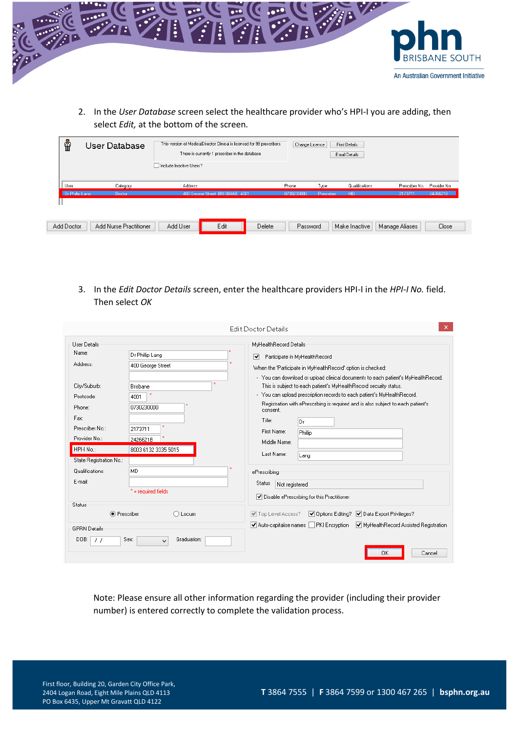

2. In the *User Database* screen select the healthcare provider who's HPI-I you are adding, then select *Edit,* at the bottom of the screen*.*

|                 |          | There is currently 1 prescriber in the database.<br>Include Inactive Users? |            |            | Email Details  |                |              |
|-----------------|----------|-----------------------------------------------------------------------------|------------|------------|----------------|----------------|--------------|
| User            | Category | Address                                                                     | Phone      | Type       | Qualifications | Prescriber No. | Provider No. |
| Dr Phillip Lang | Doctor   | 400 George Street, BRISBANE 4001                                            | 0730230000 | Prescriber | MD.            | 2173711        | 2426621B     |
|                 |          |                                                                             |            |            |                |                |              |

3. In the *Edit Doctor Details* screen, enter the healthcare providers HPI-I in the *HPI-I No.* field. Then select *OK*

|                                                                                                        |                                                                                  | <b>Edit Doctor Details</b>                                                                                                                                                                                                                                                                                                                                                                                                                                                                                                                       |  |  |  |  |
|--------------------------------------------------------------------------------------------------------|----------------------------------------------------------------------------------|--------------------------------------------------------------------------------------------------------------------------------------------------------------------------------------------------------------------------------------------------------------------------------------------------------------------------------------------------------------------------------------------------------------------------------------------------------------------------------------------------------------------------------------------------|--|--|--|--|
| Liser Details<br>Name:<br>Address:<br>City/Suburb:                                                     | Dr Phillip Lang<br>400 George Street<br>Brisbane                                 | MyHealthRecord Details<br>▿<br>Participate in MyHealthRecord<br>When the 'Participate in MyHealthRecord' option is checked:<br>- You can download or upload clinical documents to each patient's MyHealthRecord.<br>This is subject to each patient's MyHealthRecord security status.<br>- You can upload prescription records to each patient's MyHealthRecord.<br>Registration with ePrescribing is required and is also subject to each patient's<br>consent.<br>Title:<br>Dr<br>First Name:<br>Phillip<br>Middle Name:<br>Last Name:<br>Lang |  |  |  |  |
| Postcode:<br>Phone:<br>Fax:<br>Prescriber No.:<br>Provider No.:<br>HPH No.:<br>State Registration No.: | $\mathbf{x}$<br>4001<br>0730230000<br>2173711<br>2426621B<br>8003 6132 3335 5015 |                                                                                                                                                                                                                                                                                                                                                                                                                                                                                                                                                  |  |  |  |  |
| Qualifications:<br>E-mail:                                                                             | <b>MD</b><br>$* = required fields$                                               | ePrescribing<br>Status<br>Not registered<br>Disable ePrescribing for this Practitioner                                                                                                                                                                                                                                                                                                                                                                                                                                                           |  |  |  |  |
| Status<br>• Prescriber<br><b>GPRN Details</b><br>DOB:<br>$\prime$                                      | O Locum<br>Graduation:<br>Sex:<br>$\checkmark$                                   | √ Options Editing? √ Data Export Privileges?<br>√ Top Level Access?<br>Auto-capitalise names PKI Encryption<br>MyHealthRecord Assisted Registration<br>0K<br>Cancel                                                                                                                                                                                                                                                                                                                                                                              |  |  |  |  |

Note: Please ensure all other information regarding the provider (including their provider number) is entered correctly to complete the validation process.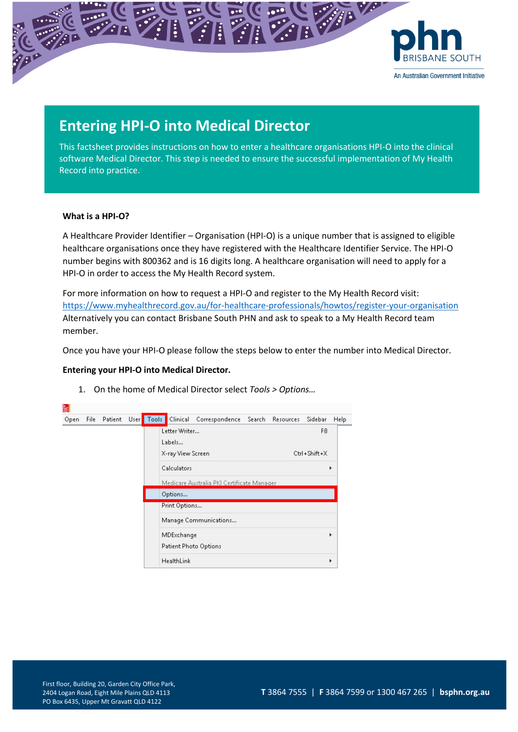

## **Entering HPI-O into Medical Director**

This factsheet provides instructions on how to enter a healthcare organisations HPI-O into the clinical software Medical Director. This step is needed to ensure the successful implementation of My Health Record into practice.

#### **What is a HPI-O?**

A Healthcare Provider Identifier – Organisation (HPI-O) is a unique number that is assigned to eligible healthcare organisations once they have registered with the Healthcare Identifier Service. The HPI-O number begins with 800362 and is 16 digits long. A healthcare organisation will need to apply for a HPI-O in order to access the My Health Record system.

For more information on how to request a HPI-O and register to the My Health Record visit: <https://www.myhealthrecord.gov.au/for-healthcare-professionals/howtos/register-your-organisation> Alternatively you can contact Brisbane South PHN and ask to speak to a My Health Record team member.

Once you have your HPI-O please follow the steps below to enter the number into Medical Director.

## **Entering your HPI-O into Medical Director.**

| 憼<br>Patient User Tools<br>File<br>Open | Clinical Correspondence Search Resources     | Sidebar<br>Help                |
|-----------------------------------------|----------------------------------------------|--------------------------------|
|                                         | Letter Writer<br>Labels<br>X-ray View Screen | F <sub>8</sub><br>Ctrl+Shift+X |
|                                         | Calculators                                  | ۱                              |
|                                         | Medicare Australia PKI Certificate Manager   |                                |
|                                         | Options                                      |                                |
|                                         | Print Options                                |                                |
|                                         | Manage Communications                        |                                |
|                                         | MDExchange                                   | ١                              |
|                                         | Patient Photo Options                        |                                |
|                                         | HealthLink                                   | ۱                              |

1. On the home of Medical Director select *Tools > Options…*